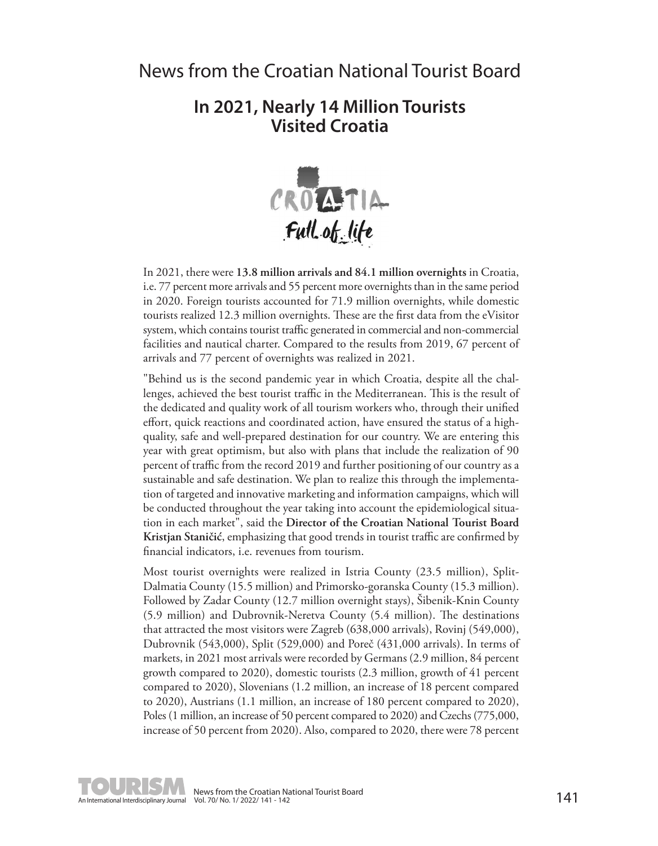## **In 2021, Nearly 14 Million Tourists Visited Croatia**



In 2021, there were **13.8 million arrivals and 84.1 million overnights** in Croatia, i.e. 77 percent more arrivals and 55 percent more overnights than in the same period in 2020. Foreign tourists accounted for 71.9 million overnights, while domestic tourists realized 12.3 million overnights. These are the first data from the eVisitor system, which contains tourist traffic generated in commercial and non-commercial facilities and nautical charter. Compared to the results from 2019, 67 percent of arrivals and 77 percent of overnights was realized in 2021.

"Behind us is the second pandemic year in which Croatia, despite all the challenges, achieved the best tourist traffic in the Mediterranean. This is the result of the dedicated and quality work of all tourism workers who, through their unified effort, quick reactions and coordinated action, have ensured the status of a highquality, safe and well-prepared destination for our country. We are entering this year with great optimism, but also with plans that include the realization of 90 percent of traffic from the record 2019 and further positioning of our country as a sustainable and safe destination. We plan to realize this through the implementation of targeted and innovative marketing and information campaigns, which will be conducted throughout the year taking into account the epidemiological situation in each market", said the **Director of the Croatian National Tourist Board Kristjan Staničić**, emphasizing that good trends in tourist traffic are confirmed by financial indicators, i.e. revenues from tourism.

Most tourist overnights were realized in Istria County (23.5 million), Split-Dalmatia County (15.5 million) and Primorsko-goranska County (15.3 million). Followed by Zadar County (12.7 million overnight stays), Šibenik-Knin County (5.9 million) and Dubrovnik-Neretva County (5.4 million). The destinations that attracted the most visitors were Zagreb (638,000 arrivals), Rovinj (549,000), Dubrovnik (543,000), Split (529,000) and Poreč (431,000 arrivals). In terms of markets, in 2021 most arrivals were recorded by Germans (2.9 million, 84 percent growth compared to 2020), domestic tourists (2.3 million, growth of 41 percent compared to 2020), Slovenians (1.2 million, an increase of 18 percent compared to 2020), Austrians (1.1 million, an increase of 180 percent compared to 2020), Poles (1 million, an increase of 50 percent compared to 2020) and Czechs (775,000, increase of 50 percent from 2020). Also, compared to 2020, there were 78 percent



News from the Croatian National Tourist Board<br>Vol. 70/No. 1/2022/141 - 142